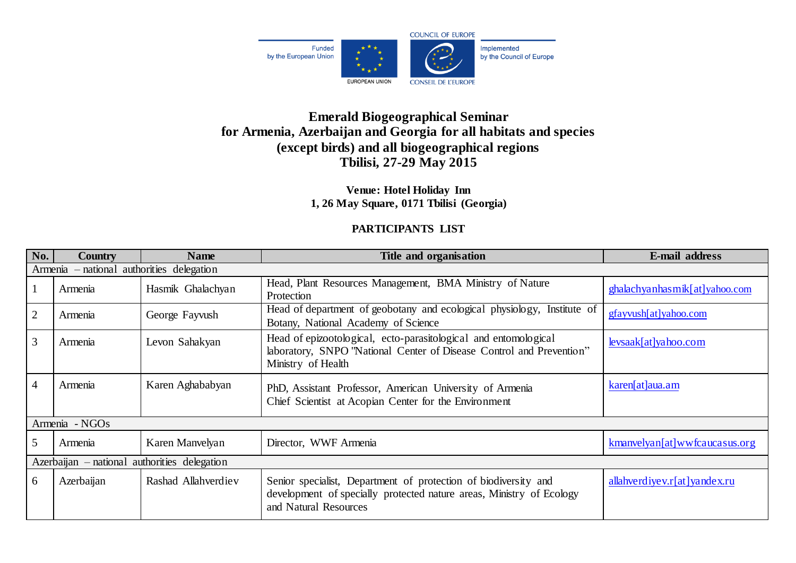

## **Emerald Biogeographical Seminar for Armenia, Azerbaijan and Georgia for all habitats and species (except birds) and all biogeographical regions Tbilisi, 27-29 May 2015**

**Venue: Hotel Holiday Inn 1, 26 May Square, 0171 Tbilisi (Georgia)**

## **PARTICIPANTS LIST**

| No.                                          | <b>Country</b> | <b>Name</b>         | Title and organisation                                                                                                                                           | E-mail address                |  |  |  |
|----------------------------------------------|----------------|---------------------|------------------------------------------------------------------------------------------------------------------------------------------------------------------|-------------------------------|--|--|--|
| Armenia – national authorities delegation    |                |                     |                                                                                                                                                                  |                               |  |  |  |
|                                              | Armenia        | Hasmik Ghalachyan   | Head, Plant Resources Management, BMA Ministry of Nature<br>Protection                                                                                           | ghalachyanhasmik[at]yahoo.com |  |  |  |
| $\overline{2}$                               | Armenia        | George Fayvush      | Head of department of geobotany and ecological physiology, Institute of<br>Botany, National Academy of Science                                                   | gfayvush[at]yahoo.com         |  |  |  |
| $\overline{3}$                               | Armenia        | Levon Sahakyan      | Head of epizootological, ecto-parasitological and entomological<br>laboratory, SNPO "National Center of Disease Control and Prevention"<br>Ministry of Health    | levsaak[at]yahoo.com          |  |  |  |
| $\overline{4}$                               | Armenia        | Karen Aghababyan    | PhD, Assistant Professor, American University of Armenia<br>Chief Scientist at Acopian Center for the Environment                                                | karen[at]aua.am               |  |  |  |
| Armenia - NGOs                               |                |                     |                                                                                                                                                                  |                               |  |  |  |
| 5                                            | Armenia        | Karen Manvelyan     | Director, WWF Armenia                                                                                                                                            | kmanvelyan[at]wwfcaucasus.org |  |  |  |
| Azerbaijan – national authorities delegation |                |                     |                                                                                                                                                                  |                               |  |  |  |
| 6                                            | Azerbaijan     | Rashad Allahverdiev | Senior specialist, Department of protection of biodiversity and<br>development of specially protected nature areas, Ministry of Ecology<br>and Natural Resources | allahverdiyev.r[at]yandex.ru  |  |  |  |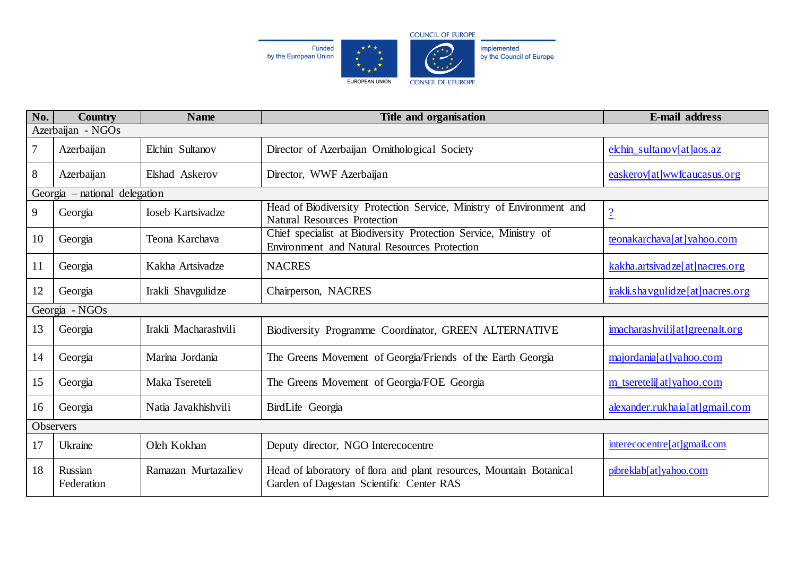

| No.                           | <b>Country</b>        | <b>Name</b>              | Title and organisation                                                                                           | <b>E-mail address</b>                            |  |  |  |
|-------------------------------|-----------------------|--------------------------|------------------------------------------------------------------------------------------------------------------|--------------------------------------------------|--|--|--|
| Azerbaijan - NGOs             |                       |                          |                                                                                                                  |                                                  |  |  |  |
| $\overline{7}$                | Azerbaijan            | Elchin Sultanov          | Director of Azerbaijan Ornithological Society                                                                    | elchin sultanov $\lceil \text{at} \rceil$ aos.az |  |  |  |
| 8                             | Azerbaijan            | Elshad Askerov           | Director, WWF Azerbaijan                                                                                         | easkerov[at]wwfcaucasus.org                      |  |  |  |
| Georgia – national delegation |                       |                          |                                                                                                                  |                                                  |  |  |  |
| 9                             | Georgia               | <b>Ioseb Kartsivadze</b> | Head of Biodiversity Protection Service, Ministry of Environment and<br><b>Natural Resources Protection</b>      | $\frac{2}{1}$                                    |  |  |  |
| 10                            | Georgia               | Teona Karchava           | Chief specialist at Biodiversity Protection Service, Ministry of<br>Environment and Natural Resources Protection | teonakarchava[at]yahoo.com                       |  |  |  |
| 11                            | Georgia               | Kakha Artsivadze         | <b>NACRES</b>                                                                                                    | kakha.artsivadze[at]nacres.org                   |  |  |  |
| 12                            | Georgia               | Irakli Shavgulidze       | Chairperson, NACRES                                                                                              | irakli.shavgulidze[at]nacres.org                 |  |  |  |
|                               | Georgia - NGOs        |                          |                                                                                                                  |                                                  |  |  |  |
| 13                            | Georgia               | Irakli Macharashvili     | Biodiversity Programme Coordinator, GREEN ALTERNATIVE                                                            | imacharashvili[at]greenalt.org                   |  |  |  |
| 14                            | Georgia               | Marina Jordania          | The Greens Movement of Georgia/Friends of the Earth Georgia                                                      | majordania[at]yahoo.com                          |  |  |  |
| 15                            | Georgia               | Maka Tsereteli           | The Greens Movement of Georgia/FOE Georgia                                                                       | m_tsereteli[at]yahoo.com                         |  |  |  |
| 16                            | Georgia               | Natia Javakhishvili      | BirdLife Georgia                                                                                                 | alexander.rukhaia[at]gmail.com                   |  |  |  |
| Observers                     |                       |                          |                                                                                                                  |                                                  |  |  |  |
| 17                            | Ukraine               | Oleh Kokhan              | Deputy director, NGO Interecocentre                                                                              | interecocentre[at]gmail.com                      |  |  |  |
| 18                            | Russian<br>Federation | Ramazan Murtazaliev      | Head of laboratory of flora and plant resources, Mountain Botanical<br>Garden of Dagestan Scientific Center RAS  | pibreklab[at]yahoo.com                           |  |  |  |